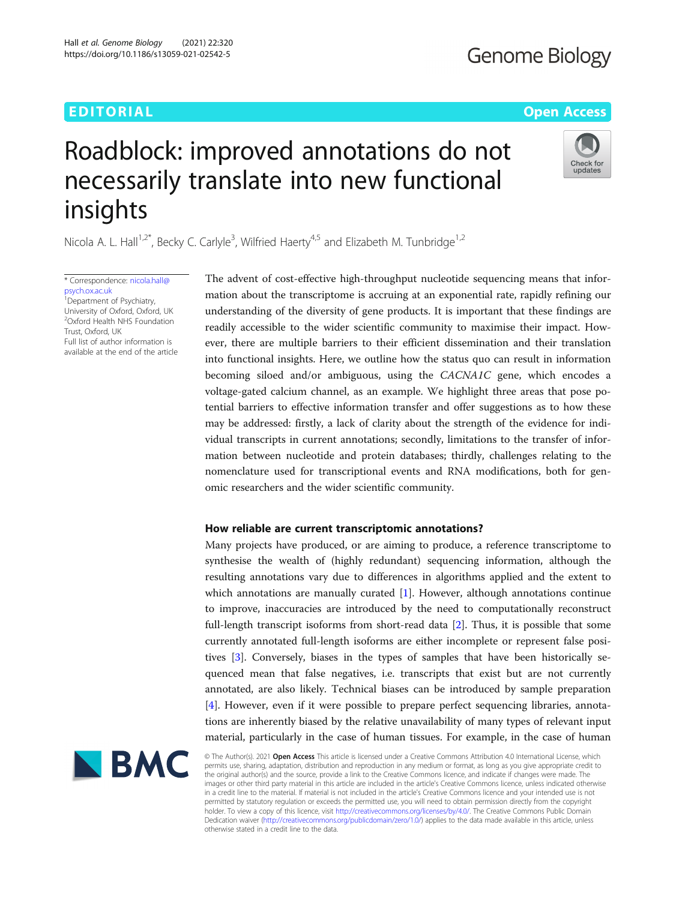### EDITORIAL AND Open Access to the contract of the contract of the contract of the contract of the contract of the contract of the contract of the contract of the contract of the contract of the contract of the contract of t

## Check for update

# Roadblock: improved annotations do not necessarily translate into new functional insights

Nicola A. L. Hall<sup>1,2\*</sup>, Becky C. Carlyle<sup>3</sup>, Wilfried Haerty<sup>4,5</sup> and Elizabeth M. Tunbridge<sup>1,2</sup>

\* Correspondence: [nicola.hall@](mailto:nicola.hall@psych.ox.ac.uk) [psych.ox.ac.uk](mailto:nicola.hall@psych.ox.ac.uk) <sup>1</sup> Department of Psychiatry,

University of Oxford, Oxford, UK 2 Oxford Health NHS Foundation Trust, Oxford, UK Full list of author information is available at the end of the article The advent of cost-effective high-throughput nucleotide sequencing means that information about the transcriptome is accruing at an exponential rate, rapidly refining our understanding of the diversity of gene products. It is important that these findings are readily accessible to the wider scientific community to maximise their impact. However, there are multiple barriers to their efficient dissemination and their translation into functional insights. Here, we outline how the status quo can result in information becoming siloed and/or ambiguous, using the CACNA1C gene, which encodes a voltage-gated calcium channel, as an example. We highlight three areas that pose potential barriers to effective information transfer and offer suggestions as to how these may be addressed: firstly, a lack of clarity about the strength of the evidence for individual transcripts in current annotations; secondly, limitations to the transfer of information between nucleotide and protein databases; thirdly, challenges relating to the nomenclature used for transcriptional events and RNA modifications, both for genomic researchers and the wider scientific community.

#### How reliable are current transcriptomic annotations?

Many projects have produced, or are aiming to produce, a reference transcriptome to synthesise the wealth of (highly redundant) sequencing information, although the resulting annotations vary due to differences in algorithms applied and the extent to which annotations are manually curated [\[1](#page-7-0)]. However, although annotations continue to improve, inaccuracies are introduced by the need to computationally reconstruct full-length transcript isoforms from short-read data [[2\]](#page-7-0). Thus, it is possible that some currently annotated full-length isoforms are either incomplete or represent false positives [\[3](#page-7-0)]. Conversely, biases in the types of samples that have been historically sequenced mean that false negatives, i.e. transcripts that exist but are not currently annotated, are also likely. Technical biases can be introduced by sample preparation [[4\]](#page-7-0). However, even if it were possible to prepare perfect sequencing libraries, annotations are inherently biased by the relative unavailability of many types of relevant input material, particularly in the case of human tissues. For example, in the case of human



© The Author(s). 2021 Open Access This article is licensed under a Creative Commons Attribution 4.0 International License, which permits use, sharing, adaptation, distribution and reproduction in any medium or format, as long as you give appropriate credit to the original author(s) and the source, provide a link to the Creative Commons licence, and indicate if changes were made. The images or other third party material in this article are included in the article's Creative Commons licence, unless indicated otherwise in a credit line to the material. If material is not included in the article's Creative Commons licence and your intended use is not permitted by statutory regulation or exceeds the permitted use, you will need to obtain permission directly from the copyright<br>holder. To view a copy of this licence, visit [http://creativecommons.org/licenses/by/4.0/.](http://creativecommons.org/licenses/by/4.0/) The Dedication waiver [\(http://creativecommons.org/publicdomain/zero/1.0/](http://creativecommons.org/publicdomain/zero/1.0/)) applies to the data made available in this article, unless otherwise stated in a credit line to the data.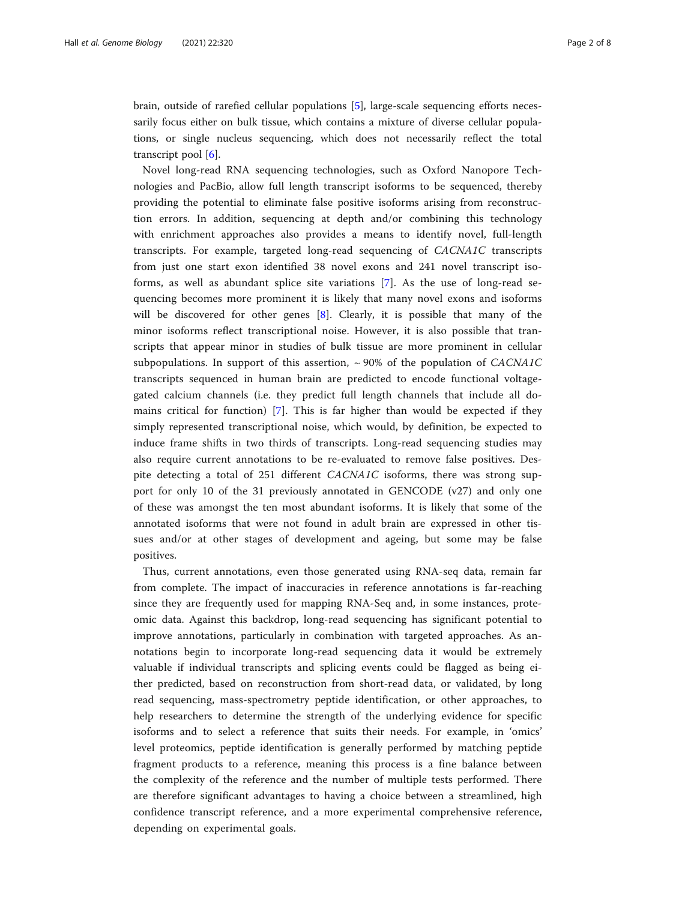brain, outside of rarefied cellular populations [\[5](#page-7-0)], large-scale sequencing efforts necessarily focus either on bulk tissue, which contains a mixture of diverse cellular populations, or single nucleus sequencing, which does not necessarily reflect the total transcript pool [\[6](#page-7-0)].

Novel long-read RNA sequencing technologies, such as Oxford Nanopore Technologies and PacBio, allow full length transcript isoforms to be sequenced, thereby providing the potential to eliminate false positive isoforms arising from reconstruction errors. In addition, sequencing at depth and/or combining this technology with enrichment approaches also provides a means to identify novel, full-length transcripts. For example, targeted long-read sequencing of CACNA1C transcripts from just one start exon identified 38 novel exons and 241 novel transcript isoforms, as well as abundant splice site variations [[7\]](#page-7-0). As the use of long-read sequencing becomes more prominent it is likely that many novel exons and isoforms will be discovered for other genes [\[8](#page-7-0)]. Clearly, it is possible that many of the minor isoforms reflect transcriptional noise. However, it is also possible that transcripts that appear minor in studies of bulk tissue are more prominent in cellular subpopulations. In support of this assertion,  $\sim$  90% of the population of *CACNA1C* transcripts sequenced in human brain are predicted to encode functional voltagegated calcium channels (i.e. they predict full length channels that include all domains critical for function) [\[7](#page-7-0)]. This is far higher than would be expected if they simply represented transcriptional noise, which would, by definition, be expected to induce frame shifts in two thirds of transcripts. Long-read sequencing studies may also require current annotations to be re-evaluated to remove false positives. Despite detecting a total of 251 different CACNA1C isoforms, there was strong support for only 10 of the 31 previously annotated in GENCODE (v27) and only one of these was amongst the ten most abundant isoforms. It is likely that some of the annotated isoforms that were not found in adult brain are expressed in other tissues and/or at other stages of development and ageing, but some may be false positives.

Thus, current annotations, even those generated using RNA-seq data, remain far from complete. The impact of inaccuracies in reference annotations is far-reaching since they are frequently used for mapping RNA-Seq and, in some instances, proteomic data. Against this backdrop, long-read sequencing has significant potential to improve annotations, particularly in combination with targeted approaches. As annotations begin to incorporate long-read sequencing data it would be extremely valuable if individual transcripts and splicing events could be flagged as being either predicted, based on reconstruction from short-read data, or validated, by long read sequencing, mass-spectrometry peptide identification, or other approaches, to help researchers to determine the strength of the underlying evidence for specific isoforms and to select a reference that suits their needs. For example, in 'omics' level proteomics, peptide identification is generally performed by matching peptide fragment products to a reference, meaning this process is a fine balance between the complexity of the reference and the number of multiple tests performed. There are therefore significant advantages to having a choice between a streamlined, high confidence transcript reference, and a more experimental comprehensive reference, depending on experimental goals.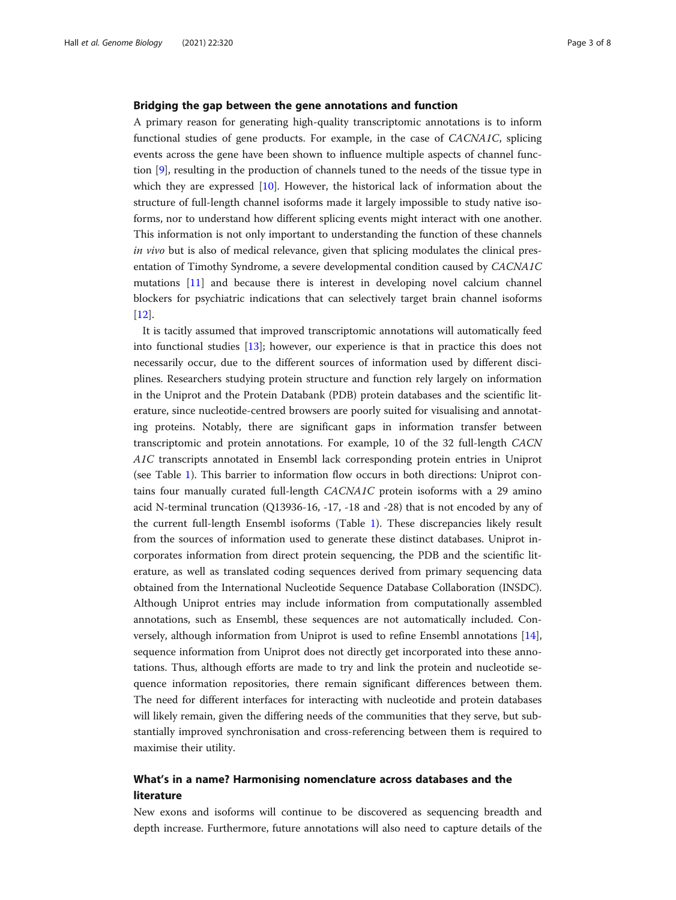#### Bridging the gap between the gene annotations and function

A primary reason for generating high-quality transcriptomic annotations is to inform functional studies of gene products. For example, in the case of CACNA1C, splicing events across the gene have been shown to influence multiple aspects of channel function [\[9\]](#page-7-0), resulting in the production of channels tuned to the needs of the tissue type in which they are expressed [\[10](#page-7-0)]. However, the historical lack of information about the structure of full-length channel isoforms made it largely impossible to study native isoforms, nor to understand how different splicing events might interact with one another. This information is not only important to understanding the function of these channels in vivo but is also of medical relevance, given that splicing modulates the clinical presentation of Timothy Syndrome, a severe developmental condition caused by CACNA1C mutations [\[11](#page-7-0)] and because there is interest in developing novel calcium channel blockers for psychiatric indications that can selectively target brain channel isoforms [[12\]](#page-7-0).

It is tacitly assumed that improved transcriptomic annotations will automatically feed into functional studies [[13](#page-7-0)]; however, our experience is that in practice this does not necessarily occur, due to the different sources of information used by different disciplines. Researchers studying protein structure and function rely largely on information in the Uniprot and the Protein Databank (PDB) protein databases and the scientific literature, since nucleotide-centred browsers are poorly suited for visualising and annotating proteins. Notably, there are significant gaps in information transfer between transcriptomic and protein annotations. For example, 10 of the 32 full-length CACN A1C transcripts annotated in Ensembl lack corresponding protein entries in Uniprot (see Table [1](#page-3-0)). This barrier to information flow occurs in both directions: Uniprot contains four manually curated full-length CACNA1C protein isoforms with a 29 amino acid N-terminal truncation (Q13936-16, -17, -18 and -28) that is not encoded by any of the current full-length Ensembl isoforms (Table [1](#page-3-0)). These discrepancies likely result from the sources of information used to generate these distinct databases. Uniprot incorporates information from direct protein sequencing, the PDB and the scientific literature, as well as translated coding sequences derived from primary sequencing data obtained from the International Nucleotide Sequence Database Collaboration (INSDC). Although Uniprot entries may include information from computationally assembled annotations, such as Ensembl, these sequences are not automatically included. Conversely, although information from Uniprot is used to refine Ensembl annotations [[14](#page-7-0)], sequence information from Uniprot does not directly get incorporated into these annotations. Thus, although efforts are made to try and link the protein and nucleotide sequence information repositories, there remain significant differences between them. The need for different interfaces for interacting with nucleotide and protein databases will likely remain, given the differing needs of the communities that they serve, but substantially improved synchronisation and cross-referencing between them is required to maximise their utility.

#### What's in a name? Harmonising nomenclature across databases and the literature

New exons and isoforms will continue to be discovered as sequencing breadth and depth increase. Furthermore, future annotations will also need to capture details of the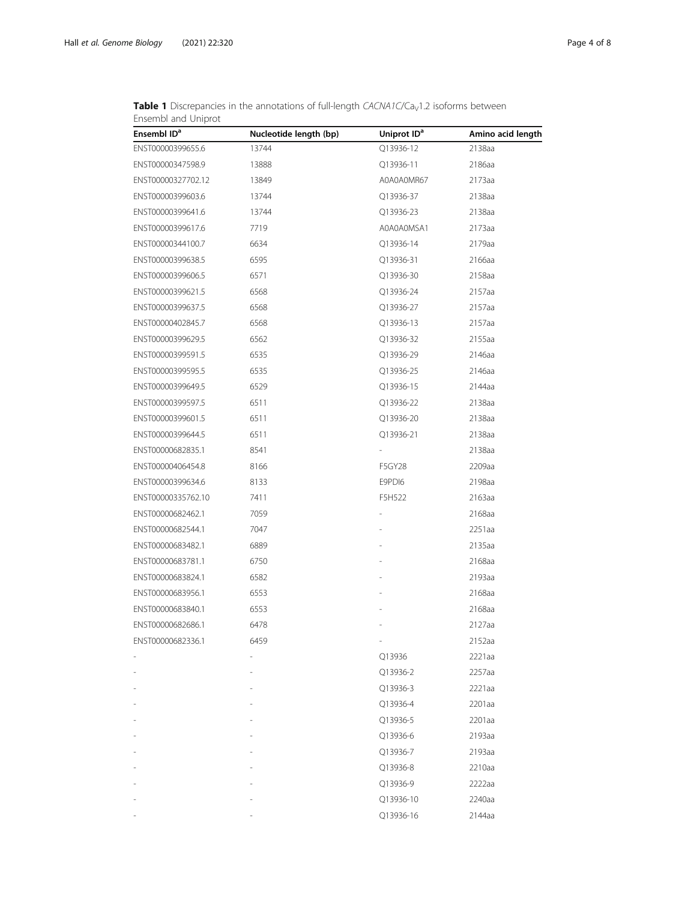| Ensembl ID <sup>a</sup> | Nucleotide length (bp) | Uniprot ID <sup>a</sup> | Amino acid length |
|-------------------------|------------------------|-------------------------|-------------------|
| ENST00000399655.6       | 13744                  | Q13936-12               | 2138aa            |
| ENST00000347598.9       | 13888                  | Q13936-11               | 2186aa            |
| ENST00000327702.12      | 13849                  | A0A0A0MR67              | 2173aa            |
| ENST00000399603.6       | 13744                  | Q13936-37               | 2138aa            |
| ENST00000399641.6       | 13744                  | Q13936-23               | 2138aa            |
| ENST00000399617.6       | 7719                   | A0A0A0MSA1              | 2173aa            |
| ENST00000344100.7       | 6634                   | Q13936-14               | 2179aa            |
| ENST00000399638.5       | 6595                   | Q13936-31               | 2166aa            |
| ENST00000399606.5       | 6571                   | Q13936-30               | 2158aa            |
| ENST00000399621.5       | 6568                   | Q13936-24               | 2157aa            |
| ENST00000399637.5       | 6568                   | Q13936-27               | 2157aa            |
| ENST00000402845.7       | 6568                   | Q13936-13               | 2157aa            |
| ENST00000399629.5       | 6562                   | Q13936-32               | 2155aa            |
| ENST00000399591.5       | 6535                   | Q13936-29               | 2146aa            |
| ENST00000399595.5       | 6535                   | Q13936-25               | 2146aa            |
| ENST00000399649.5       | 6529                   | Q13936-15               | 2144aa            |
| ENST00000399597.5       | 6511                   | Q13936-22               | 2138aa            |
| ENST00000399601.5       | 6511                   | Q13936-20               | 2138aa            |
| ENST00000399644.5       | 6511                   | Q13936-21               | 2138aa            |
| ENST00000682835.1       | 8541                   |                         | 2138aa            |
| ENST00000406454.8       | 8166                   | F5GY28                  | 2209aa            |
| ENST00000399634.6       | 8133                   | E9PDI6                  | 2198aa            |
| ENST00000335762.10      | 7411                   | F5H522                  | 2163aa            |
| ENST00000682462.1       | 7059                   |                         | 2168aa            |
| ENST00000682544.1       | 7047                   |                         | 2251aa            |
| ENST00000683482.1       | 6889                   |                         | 2135aa            |
| ENST00000683781.1       | 6750                   |                         | 2168aa            |
| ENST00000683824.1       | 6582                   |                         | 2193aa            |
| ENST00000683956.1       | 6553                   |                         | 2168aa            |
| ENST00000683840.1       | 6553                   |                         | 2168aa            |
| ENST00000682686.1       | 6478                   |                         | 2127aa            |
| ENST00000682336.1       | 6459                   |                         | 2152aa            |
|                         |                        | Q13936                  | 2221aa            |
|                         |                        | Q13936-2                | 2257aa            |
|                         |                        | Q13936-3                | 2221aa            |
|                         |                        | Q13936-4                | 2201aa            |
|                         |                        | Q13936-5                | 2201aa            |
|                         |                        | Q13936-6                | 2193aa            |
|                         |                        | Q13936-7                | 2193aa            |
|                         |                        | Q13936-8                | 2210aa            |
|                         |                        | Q13936-9                | 2222aa            |
|                         |                        | Q13936-10               | 2240aa            |
|                         |                        | Q13936-16               | 2144aa            |

<span id="page-3-0"></span>**Table 1** Discrepancies in the annotations of full-length  $CACNA1C/Ca<sub>V</sub>1.2$  isoforms between Ensembl and Uniprot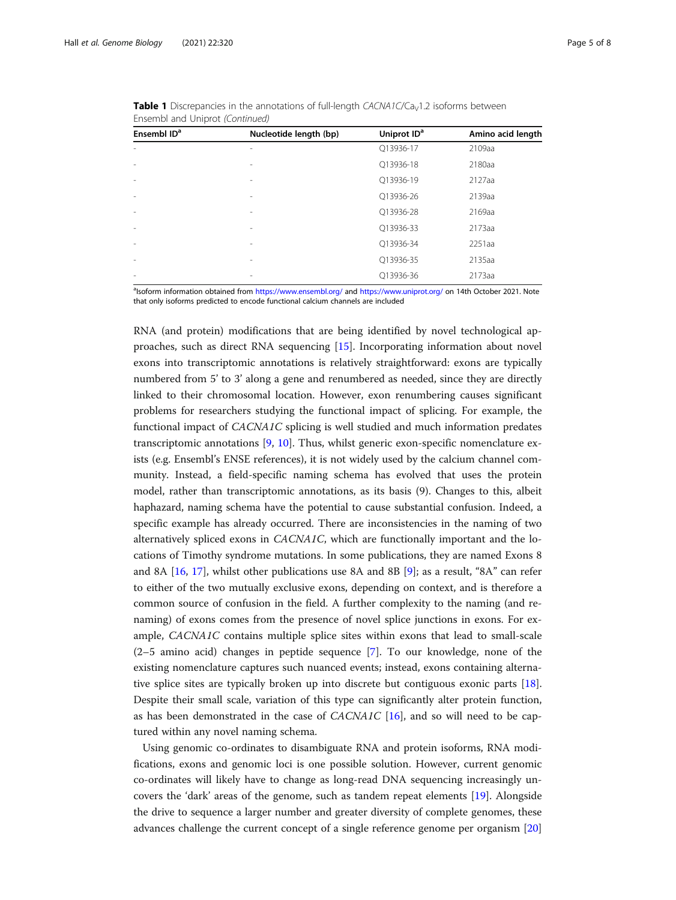| Ensembl ID <sup>a</sup>  | Nucleotide length (bp)   | Uniprot ID <sup>a</sup> | Amino acid length |
|--------------------------|--------------------------|-------------------------|-------------------|
| ÷,                       |                          | Q13936-17               | 2109aa            |
| $\overline{\phantom{a}}$ | $\overline{\phantom{a}}$ | Q13936-18               | 2180aa            |
| $\overline{\phantom{a}}$ | $\overline{\phantom{a}}$ | Q13936-19               | 2127aa            |
| ٠                        | $\overline{\phantom{a}}$ | O13936-26               | 2139aa            |
| $\overline{\phantom{a}}$ | -                        | Q13936-28               | 2169aa            |
| $\overline{\phantom{a}}$ | $\overline{\phantom{a}}$ | Q13936-33               | 2173aa            |
| $\overline{\phantom{a}}$ | $\overline{\phantom{a}}$ | Q13936-34               | 2251aa            |
| $\overline{\phantom{a}}$ | $\overline{\phantom{a}}$ | Q13936-35               | 2135aa            |
| $\overline{\phantom{a}}$ | -                        | O13936-36               | 2173aa            |

**Table 1** Discrepancies in the annotations of full-length  $CACNA1C/Ca<sub>V</sub>1.2$  isoforms between Ensembl and Uniprot (Continued)

alsoform information obtained from <https://www.ensembl.org/> and <https://www.uniprot.org/> on 14th October 2021. Note that only isoforms predicted to encode functional calcium channels are included

RNA (and protein) modifications that are being identified by novel technological approaches, such as direct RNA sequencing [[15\]](#page-7-0). Incorporating information about novel exons into transcriptomic annotations is relatively straightforward: exons are typically numbered from 5' to 3' along a gene and renumbered as needed, since they are directly linked to their chromosomal location. However, exon renumbering causes significant problems for researchers studying the functional impact of splicing. For example, the functional impact of CACNA1C splicing is well studied and much information predates transcriptomic annotations [[9](#page-7-0), [10](#page-7-0)]. Thus, whilst generic exon-specific nomenclature exists (e.g. Ensembl's ENSE references), it is not widely used by the calcium channel community. Instead, a field-specific naming schema has evolved that uses the protein model, rather than transcriptomic annotations, as its basis (9). Changes to this, albeit haphazard, naming schema have the potential to cause substantial confusion. Indeed, a specific example has already occurred. There are inconsistencies in the naming of two alternatively spliced exons in CACNA1C, which are functionally important and the locations of Timothy syndrome mutations. In some publications, they are named Exons 8 and 8A [[16,](#page-7-0) [17\]](#page-7-0), whilst other publications use 8A and 8B [[9\]](#page-7-0); as a result, "8A" can refer to either of the two mutually exclusive exons, depending on context, and is therefore a common source of confusion in the field. A further complexity to the naming (and renaming) of exons comes from the presence of novel splice junctions in exons. For example, CACNA1C contains multiple splice sites within exons that lead to small-scale (2–5 amino acid) changes in peptide sequence [\[7](#page-7-0)]. To our knowledge, none of the existing nomenclature captures such nuanced events; instead, exons containing alternative splice sites are typically broken up into discrete but contiguous exonic parts [[18](#page-7-0)]. Despite their small scale, variation of this type can significantly alter protein function, as has been demonstrated in the case of  $CACNAIC$  [[16\]](#page-7-0), and so will need to be captured within any novel naming schema.

Using genomic co-ordinates to disambiguate RNA and protein isoforms, RNA modifications, exons and genomic loci is one possible solution. However, current genomic co-ordinates will likely have to change as long-read DNA sequencing increasingly uncovers the 'dark' areas of the genome, such as tandem repeat elements [\[19](#page-7-0)]. Alongside the drive to sequence a larger number and greater diversity of complete genomes, these advances challenge the current concept of a single reference genome per organism [[20](#page-7-0)]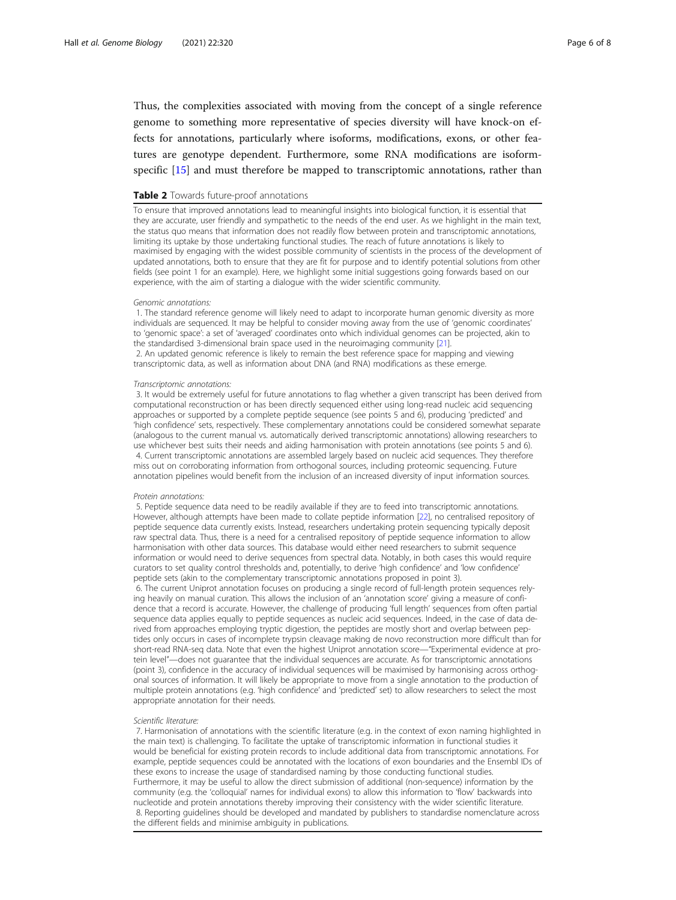<span id="page-5-0"></span>Thus, the complexities associated with moving from the concept of a single reference genome to something more representative of species diversity will have knock-on effects for annotations, particularly where isoforms, modifications, exons, or other features are genotype dependent. Furthermore, some RNA modifications are isoformspecific [\[15](#page-7-0)] and must therefore be mapped to transcriptomic annotations, rather than

#### Table 2 Towards future-proof annotations

To ensure that improved annotations lead to meaningful insights into biological function, it is essential that they are accurate, user friendly and sympathetic to the needs of the end user. As we highlight in the main text, the status quo means that information does not readily flow between protein and transcriptomic annotations, limiting its uptake by those undertaking functional studies. The reach of future annotations is likely to maximised by engaging with the widest possible community of scientists in the process of the development of updated annotations, both to ensure that they are fit for purpose and to identify potential solutions from other fields (see point 1 for an example). Here, we highlight some initial suggestions going forwards based on our experience, with the aim of starting a dialogue with the wider scientific community.

#### Genomic annotations:

1. The standard reference genome will likely need to adapt to incorporate human genomic diversity as more individuals are sequenced. It may be helpful to consider moving away from the use of 'genomic coordinates' to 'genomic space': a set of 'averaged' coordinates onto which individual genomes can be projected, akin to the standardised 3-dimensional brain space used in the neuroimaging community [[21\]](#page-7-0). 2. An updated genomic reference is likely to remain the best reference space for mapping and viewing transcriptomic data, as well as information about DNA (and RNA) modifications as these emerge.

#### Transcriptomic annotations:

3. It would be extremely useful for future annotations to flag whether a given transcript has been derived from computational reconstruction or has been directly sequenced either using long-read nucleic acid sequencing approaches or supported by a complete peptide sequence (see points 5 and 6), producing 'predicted' and 'high confidence' sets, respectively. These complementary annotations could be considered somewhat separate (analogous to the current manual vs. automatically derived transcriptomic annotations) allowing researchers to use whichever best suits their needs and aiding harmonisation with protein annotations (see points 5 and 6). 4. Current transcriptomic annotations are assembled largely based on nucleic acid sequences. They therefore miss out on corroborating information from orthogonal sources, including proteomic sequencing. Future annotation pipelines would benefit from the inclusion of an increased diversity of input information sources.

#### Protein annotations:

5. Peptide sequence data need to be readily available if they are to feed into transcriptomic annotations. However, although attempts have been made to collate peptide information [[22](#page-7-0)], no centralised repository of peptide sequence data currently exists. Instead, researchers undertaking protein sequencing typically deposit raw spectral data. Thus, there is a need for a centralised repository of peptide sequence information to allow harmonisation with other data sources. This database would either need researchers to submit sequence information or would need to derive sequences from spectral data. Notably, in both cases this would require curators to set quality control thresholds and, potentially, to derive 'high confidence' and 'low confidence' peptide sets (akin to the complementary transcriptomic annotations proposed in point 3).

6. The current Uniprot annotation focuses on producing a single record of full-length protein sequences relying heavily on manual curation. This allows the inclusion of an 'annotation score' giving a measure of confidence that a record is accurate. However, the challenge of producing 'full length' sequences from often partial sequence data applies equally to peptide sequences as nucleic acid sequences. Indeed, in the case of data derived from approaches employing tryptic digestion, the peptides are mostly short and overlap between peptides only occurs in cases of incomplete trypsin cleavage making de novo reconstruction more difficult than for short-read RNA-seq data. Note that even the highest Uniprot annotation score—"Experimental evidence at protein level"—does not guarantee that the individual sequences are accurate. As for transcriptomic annotations (point 3), confidence in the accuracy of individual sequences will be maximised by harmonising across orthogonal sources of information. It will likely be appropriate to move from a single annotation to the production of multiple protein annotations (e.g. 'high confidence' and 'predicted' set) to allow researchers to select the most appropriate annotation for their needs.

#### Scientific literature:

7. Harmonisation of annotations with the scientific literature (e.g. in the context of exon naming highlighted in the main text) is challenging. To facilitate the uptake of transcriptomic information in functional studies it would be beneficial for existing protein records to include additional data from transcriptomic annotations. For example, peptide sequences could be annotated with the locations of exon boundaries and the Ensembl IDs of these exons to increase the usage of standardised naming by those conducting functional studies. Furthermore, it may be useful to allow the direct submission of additional (non-sequence) information by the community (e.g. the 'colloquial' names for individual exons) to allow this information to 'flow' backwards into nucleotide and protein annotations thereby improving their consistency with the wider scientific literature. 8. Reporting guidelines should be developed and mandated by publishers to standardise nomenclature across the different fields and minimise ambiguity in publications.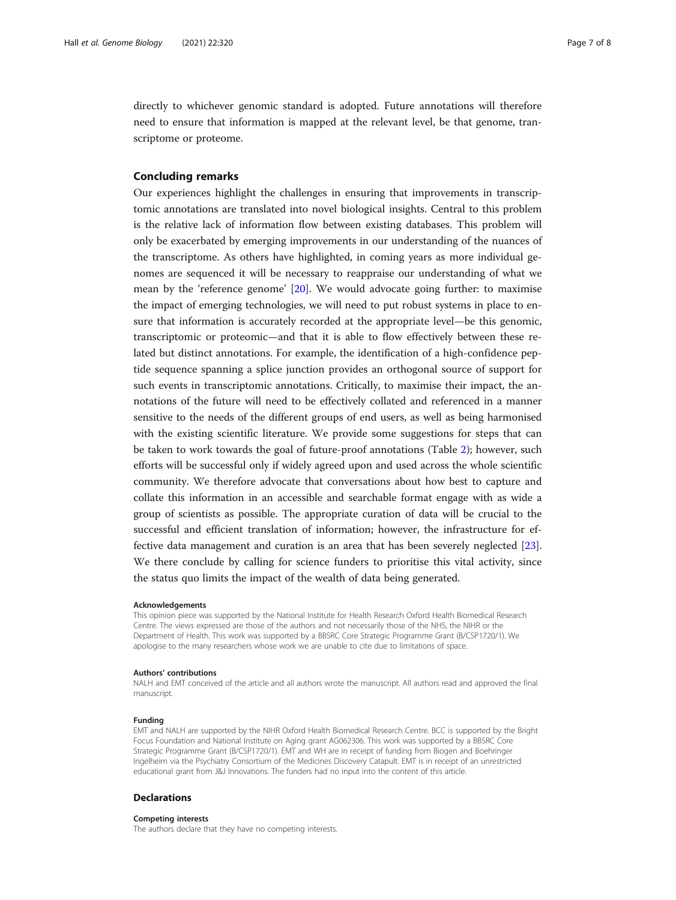directly to whichever genomic standard is adopted. Future annotations will therefore need to ensure that information is mapped at the relevant level, be that genome, transcriptome or proteome.

#### Concluding remarks

Our experiences highlight the challenges in ensuring that improvements in transcriptomic annotations are translated into novel biological insights. Central to this problem is the relative lack of information flow between existing databases. This problem will only be exacerbated by emerging improvements in our understanding of the nuances of the transcriptome. As others have highlighted, in coming years as more individual genomes are sequenced it will be necessary to reappraise our understanding of what we mean by the 'reference genome' [\[20](#page-7-0)]. We would advocate going further: to maximise the impact of emerging technologies, we will need to put robust systems in place to ensure that information is accurately recorded at the appropriate level—be this genomic, transcriptomic or proteomic—and that it is able to flow effectively between these related but distinct annotations. For example, the identification of a high-confidence peptide sequence spanning a splice junction provides an orthogonal source of support for such events in transcriptomic annotations. Critically, to maximise their impact, the annotations of the future will need to be effectively collated and referenced in a manner sensitive to the needs of the different groups of end users, as well as being harmonised with the existing scientific literature. We provide some suggestions for steps that can be taken to work towards the goal of future-proof annotations (Table [2](#page-5-0)); however, such efforts will be successful only if widely agreed upon and used across the whole scientific community. We therefore advocate that conversations about how best to capture and collate this information in an accessible and searchable format engage with as wide a group of scientists as possible. The appropriate curation of data will be crucial to the successful and efficient translation of information; however, the infrastructure for effective data management and curation is an area that has been severely neglected [[23](#page-7-0)]. We there conclude by calling for science funders to prioritise this vital activity, since the status quo limits the impact of the wealth of data being generated.

#### Acknowledgements

This opinion piece was supported by the National Institute for Health Research Oxford Health Biomedical Research Centre. The views expressed are those of the authors and not necessarily those of the NHS, the NIHR or the Department of Health. This work was supported by a BBSRC Core Strategic Programme Grant (B/CSP1720/1). We apologise to the many researchers whose work we are unable to cite due to limitations of space.

#### Authors' contributions

NALH and EMT conceived of the article and all authors wrote the manuscript. All authors read and approved the final manuscript.

#### Funding

EMT and NALH are supported by the NIHR Oxford Health Biomedical Research Centre. BCC is supported by the Bright Focus Foundation and National Institute on Aging grant AG062306. This work was supported by a BBSRC Core Strategic Programme Grant (B/CSP1720/1). EMT and WH are in receipt of funding from Biogen and Boehringer Ingelheim via the Psychiatry Consortium of the Medicines Discovery Catapult. EMT is in receipt of an unrestricted educational grant from J&J Innovations. The funders had no input into the content of this article.

#### Declarations

#### Competing interests

The authors declare that they have no competing interests.